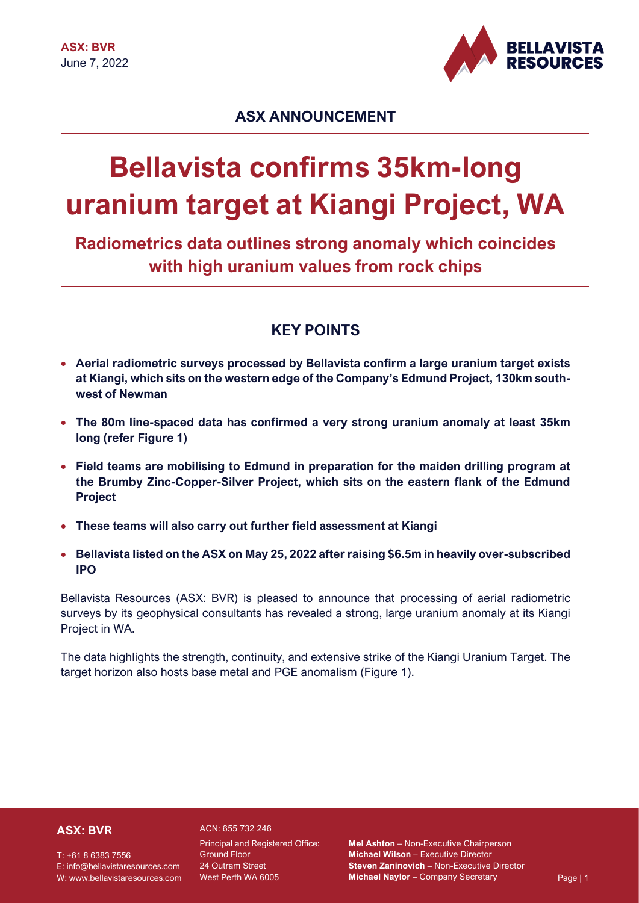

# **ASX ANNOUNCEMENT**

# **Bellavista confirms 35km-long uranium target at Kiangi Project, WA**

**Radiometrics data outlines strong anomaly which coincides with high uranium values from rock chips**

## **KEY POINTS**

- **Aerial radiometric surveys processed by Bellavista confirm a large uranium target exists at Kiangi, which sits on the western edge of the Company's Edmund Project, 130km southwest of Newman**
- **The 80m line-spaced data has confirmed a very strong uranium anomaly at least 35km long (refer Figure 1)**
- **Field teams are mobilising to Edmund in preparation for the maiden drilling program at the Brumby Zinc-Copper-Silver Project, which sits on the eastern flank of the Edmund Project**
- **These teams will also carry out further field assessment at Kiangi**
- **Bellavista listed on the ASX on May 25, 2022 after raising \$6.5m in heavily over-subscribed IPO**

Bellavista Resources (ASX: BVR) is pleased to announce that processing of aerial radiometric surveys by its geophysical consultants has revealed a strong, large uranium anomaly at its Kiangi Project in WA.

The data highlights the strength, continuity, and extensive strike of the Kiangi Uranium Target. The target horizon also hosts base metal and PGE anomalism (Figure 1).

## **ASX: BVR**

T: +61 8 6383 7556 E: info@bellavistaresources.com W: www.bellavistaresources.com ACN: 655 732 246 Principal and Registered Office: Ground Floor 24 Outram Street

West Perth WA 6005 **Page | 1 April 1 - Page | 1 April 1** - Company Secretary Page | 1 **Mel Ashton** – Non-Executive Chairperson **Michael Wilson** – Executive Director **Steven Zaninovich** – Non-Executive Director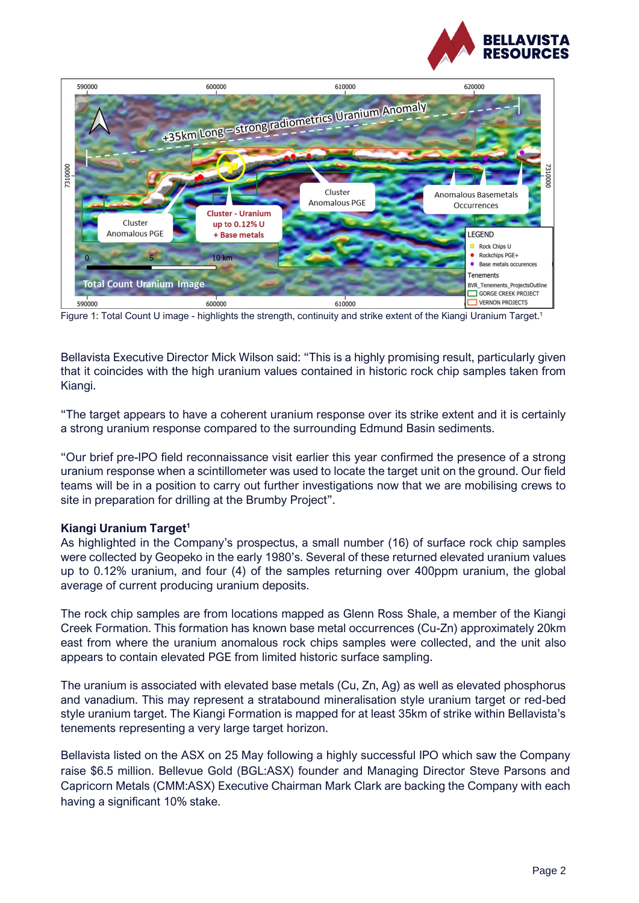



Figure 1: Total Count U image - highlights the strength, continuity and strike extent of the Kiangi Uranium Target.<sup>1</sup>

Bellavista Executive Director Mick Wilson said: "This is a highly promising result, particularly given that it coincides with the high uranium values contained in historic rock chip samples taken from Kiangi.

"The target appears to have a coherent uranium response over its strike extent and it is certainly a strong uranium response compared to the surrounding Edmund Basin sediments.

"Our brief pre-IPO field reconnaissance visit earlier this year confirmed the presence of a strong uranium response when a scintillometer was used to locate the target unit on the ground. Our field teams will be in a position to carry out further investigations now that we are mobilising crews to site in preparation for drilling at the Brumby Project".

#### **Kiangi Uranium Target<sup>1</sup>**

As highlighted in the Company's prospectus, a small number (16) of surface rock chip samples were collected by Geopeko in the early 1980's. Several of these returned elevated uranium values up to 0.12% uranium, and four (4) of the samples returning over 400ppm uranium, the global average of current producing uranium deposits.

The rock chip samples are from locations mapped as Glenn Ross Shale, a member of the Kiangi Creek Formation. This formation has known base metal occurrences (Cu-Zn) approximately 20km east from where the uranium anomalous rock chips samples were collected, and the unit also appears to contain elevated PGE from limited historic surface sampling.

The uranium is associated with elevated base metals (Cu, Zn, Ag) as well as elevated phosphorus and vanadium. This may represent a stratabound mineralisation style uranium target or red-bed style uranium target. The Kiangi Formation is mapped for at least 35km of strike within Bellavista's tenements representing a very large target horizon.

Bellavista listed on the ASX on 25 May following a highly successful IPO which saw the Company raise \$6.5 million. Bellevue Gold (BGL:ASX) founder and Managing Director Steve Parsons and Capricorn Metals (CMM:ASX) Executive Chairman Mark Clark are backing the Company with each having a significant 10% stake.